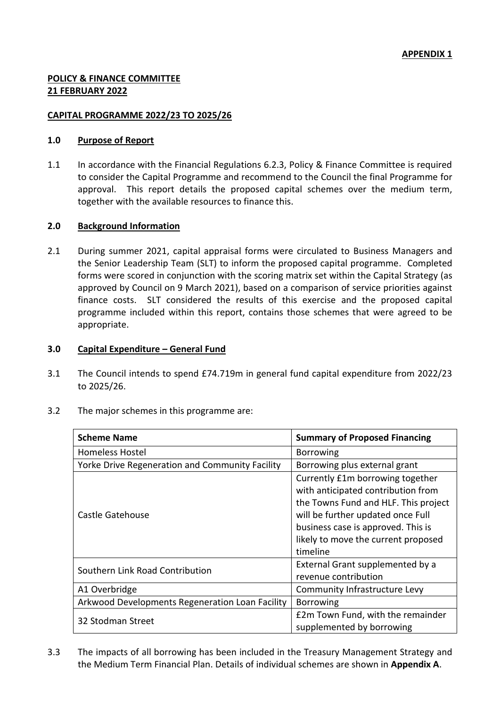# **POLICY & FINANCE COMMITTEE 21 FEBRUARY 2022**

## **CAPITAL PROGRAMME 2022/23 TO 2025/26**

## **1.0 Purpose of Report**

1.1 In accordance with the Financial Regulations 6.2.3, Policy & Finance Committee is required to consider the Capital Programme and recommend to the Council the final Programme for approval. This report details the proposed capital schemes over the medium term, together with the available resources to finance this.

### **2.0 Background Information**

2.1 During summer 2021, capital appraisal forms were circulated to Business Managers and the Senior Leadership Team (SLT) to inform the proposed capital programme. Completed forms were scored in conjunction with the scoring matrix set within the Capital Strategy (as approved by Council on 9 March 2021), based on a comparison of service priorities against finance costs. SLT considered the results of this exercise and the proposed capital programme included within this report, contains those schemes that were agreed to be appropriate.

### **3.0 Capital Expenditure – General Fund**

3.1 The Council intends to spend £74.719m in general fund capital expenditure from 2022/23 to 2025/26.

| <b>Scheme Name</b>                              | <b>Summary of Proposed Financing</b>                                                                                                                                                                                                         |  |  |
|-------------------------------------------------|----------------------------------------------------------------------------------------------------------------------------------------------------------------------------------------------------------------------------------------------|--|--|
| Homeless Hostel                                 | <b>Borrowing</b>                                                                                                                                                                                                                             |  |  |
| Yorke Drive Regeneration and Community Facility | Borrowing plus external grant                                                                                                                                                                                                                |  |  |
| Castle Gatehouse                                | Currently £1m borrowing together<br>with anticipated contribution from<br>the Towns Fund and HLF. This project<br>will be further updated once Full<br>business case is approved. This is<br>likely to move the current proposed<br>timeline |  |  |
| Southern Link Road Contribution                 | External Grant supplemented by a<br>revenue contribution                                                                                                                                                                                     |  |  |
| A1 Overbridge                                   | Community Infrastructure Levy                                                                                                                                                                                                                |  |  |
| Arkwood Developments Regeneration Loan Facility | <b>Borrowing</b>                                                                                                                                                                                                                             |  |  |
| 32 Stodman Street                               | £2m Town Fund, with the remainder<br>supplemented by borrowing                                                                                                                                                                               |  |  |

3.2 The major schemes in this programme are:

3.3 The impacts of all borrowing has been included in the Treasury Management Strategy and the Medium Term Financial Plan. Details of individual schemes are shown in **Appendix A**.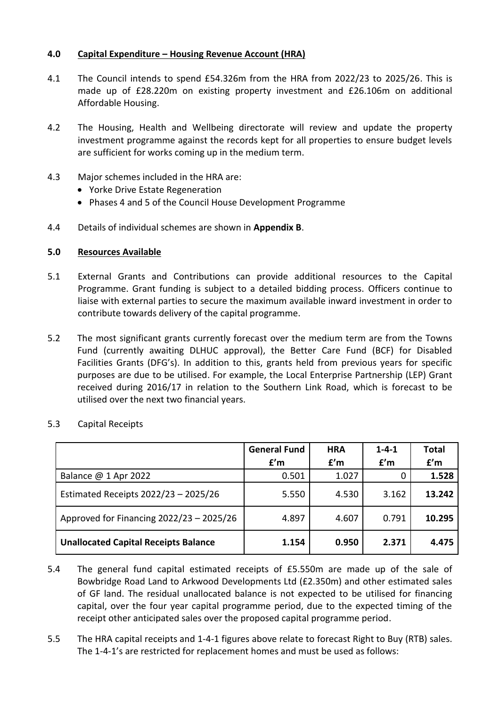# **4.0 Capital Expenditure – Housing Revenue Account (HRA)**

- 4.1 The Council intends to spend £54.326m from the HRA from 2022/23 to 2025/26. This is made up of £28.220m on existing property investment and £26.106m on additional Affordable Housing.
- 4.2 The Housing, Health and Wellbeing directorate will review and update the property investment programme against the records kept for all properties to ensure budget levels are sufficient for works coming up in the medium term.
- 4.3 Major schemes included in the HRA are:
	- Yorke Drive Estate Regeneration
	- Phases 4 and 5 of the Council House Development Programme
- 4.4 Details of individual schemes are shown in **Appendix B**.

### **5.0 Resources Available**

- 5.1 External Grants and Contributions can provide additional resources to the Capital Programme. Grant funding is subject to a detailed bidding process. Officers continue to liaise with external parties to secure the maximum available inward investment in order to contribute towards delivery of the capital programme.
- 5.2 The most significant grants currently forecast over the medium term are from the Towns Fund (currently awaiting DLHUC approval), the Better Care Fund (BCF) for Disabled Facilities Grants (DFG's). In addition to this, grants held from previous years for specific purposes are due to be utilised. For example, the Local Enterprise Partnership (LEP) Grant received during 2016/17 in relation to the Southern Link Road, which is forecast to be utilised over the next two financial years.

|                                             | <b>General Fund</b><br>f'm | <b>HRA</b><br>f'm | $1 - 4 - 1$<br>f'm | <b>Total</b><br>f'm |
|---------------------------------------------|----------------------------|-------------------|--------------------|---------------------|
| Balance $@1$ Apr 2022                       | 0.501                      | 1.027             |                    | 1.528               |
| Estimated Receipts 2022/23 - 2025/26        | 5.550                      | 4.530             | 3.162              | 13.242              |
| Approved for Financing 2022/23 - 2025/26    | 4.897                      | 4.607             | 0.791              | 10.295              |
| <b>Unallocated Capital Receipts Balance</b> | 1.154                      | 0.950             | 2.371              | 4.475               |

5.3 Capital Receipts

- 5.4 The general fund capital estimated receipts of £5.550m are made up of the sale of Bowbridge Road Land to Arkwood Developments Ltd (£2.350m) and other estimated sales of GF land. The residual unallocated balance is not expected to be utilised for financing capital, over the four year capital programme period, due to the expected timing of the receipt other anticipated sales over the proposed capital programme period.
- 5.5 The HRA capital receipts and 1-4-1 figures above relate to forecast Right to Buy (RTB) sales. The 1-4-1's are restricted for replacement homes and must be used as follows: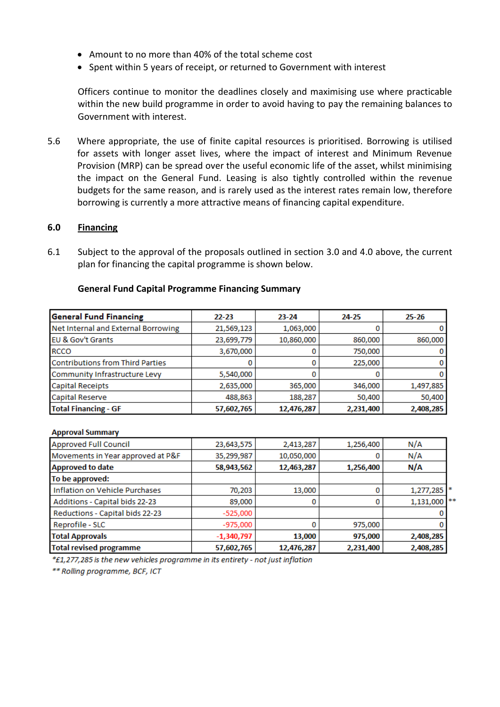- Amount to no more than 40% of the total scheme cost
- Spent within 5 years of receipt, or returned to Government with interest

Officers continue to monitor the deadlines closely and maximising use where practicable within the new build programme in order to avoid having to pay the remaining balances to Government with interest.

5.6 Where appropriate, the use of finite capital resources is prioritised. Borrowing is utilised for assets with longer asset lives, where the impact of interest and Minimum Revenue Provision (MRP) can be spread over the useful economic life of the asset, whilst minimising the impact on the General Fund. Leasing is also tightly controlled within the revenue budgets for the same reason, and is rarely used as the interest rates remain low, therefore borrowing is currently a more attractive means of financing capital expenditure.

### **6.0 Financing**

6.1 Subject to the approval of the proposals outlined in section 3.0 and 4.0 above, the current plan for financing the capital programme is shown below.

| <b>General Fund Financing</b>           | $22 - 23$  | $23 - 24$  | 24-25     | $25 - 26$ |
|-----------------------------------------|------------|------------|-----------|-----------|
| Net Internal and External Borrowing     | 21,569,123 | 1,063,000  |           |           |
| EU & Gov't Grants                       | 23,699,779 | 10,860,000 | 860,000   | 860,000   |
| <b>RCCO</b>                             | 3,670,000  |            | 750,000   |           |
| <b>Contributions from Third Parties</b> |            |            | 225,000   |           |
| Community Infrastructure Levy           | 5,540,000  |            |           |           |
| <b>Capital Receipts</b>                 | 2,635,000  | 365,000    | 346,000   | 1,497,885 |
| <b>Capital Reserve</b>                  | 488,863    | 188,287    | 50,400    | 50,400    |
| <b>Total Financing - GF</b>             | 57,602,765 | 12,476,287 | 2,231,400 | 2,408,285 |

### **General Fund Capital Programme Financing Summary**

#### **Approval Summary**

| <b>Approved Full Council</b>      | 23,643,575   | 2,413,287  | 1,256,400 | N/A            |
|-----------------------------------|--------------|------------|-----------|----------------|
| Movements in Year approved at P&F | 35,299,987   | 10,050,000 |           | N/A            |
| <b>Approved to date</b>           | 58,943,562   | 12,463,287 | 1,256,400 | N/A            |
| To be approved:                   |              |            |           |                |
| Inflation on Vehicle Purchases    | 70,203       | 13,000     |           | 1,277,285 *    |
| Additions - Capital bids 22-23    | 89,000       | 0          |           | $1,131,000$ ** |
| Reductions - Capital bids 22-23   | $-525,000$   |            |           |                |
| Reprofile - SLC                   | $-975,000$   |            | 975,000   |                |
| <b>Total Approvals</b>            | $-1,340,797$ | 13,000     | 975,000   | 2,408,285      |
| <b>Total revised programme</b>    | 57,602,765   | 12,476,287 | 2,231,400 | 2,408,285      |

\*£1,277,285 is the new vehicles programme in its entirety - not just inflation

\*\* Rolling programme, BCF, ICT